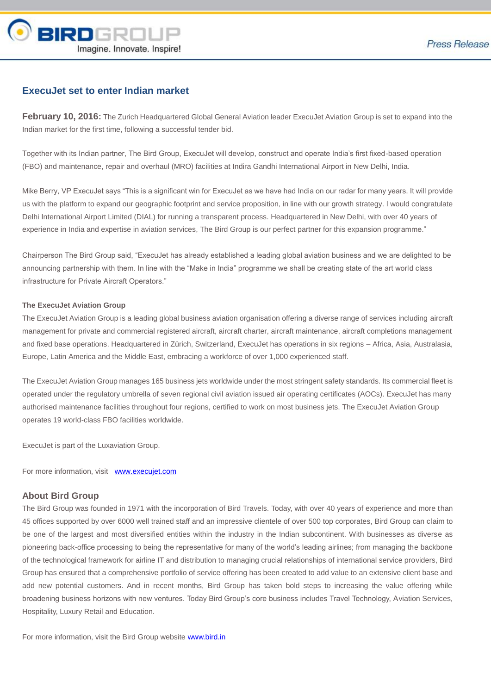

## **ExecuJet set to enter Indian market**

**February 10, 2016:** The Zurich Headquartered Global General Aviation leader ExecuJet Aviation Group is set to expand into the Indian market for the first time, following a successful tender bid.

Together with its Indian partner, The Bird Group, ExecuJet will develop, construct and operate India's first fixed-based operation (FBO) and maintenance, repair and overhaul (MRO) facilities at Indira Gandhi International Airport in New Delhi, India.

Mike Berry, VP ExecuJet says "This is a significant win for ExecuJet as we have had India on our radar for many years. It will provide us with the platform to expand our geographic footprint and service proposition, in line with our growth strategy. I would congratulate Delhi International Airport Limited (DIAL) for running a transparent process. Headquartered in New Delhi, with over 40 years of experience in India and expertise in aviation services, The Bird Group is our perfect partner for this expansion programme."

Chairperson The Bird Group said, "ExecuJet has already established a leading global aviation business and we are delighted to be announcing partnership with them. In line with the "Make in India" programme we shall be creating state of the art world class infrastructure for Private Aircraft Operators."

## **The ExecuJet Aviation Group**

The ExecuJet Aviation Group is a leading global business aviation organisation offering a diverse range of services including aircraft management for private and commercial registered aircraft, aircraft charter, aircraft maintenance, aircraft completions management and fixed base operations. Headquartered in Zürich, Switzerland, ExecuJet has operations in six regions – Africa, Asia, Australasia, Europe, Latin America and the Middle East, embracing a workforce of over 1,000 experienced staff.

The ExecuJet Aviation Group manages 165 business jets worldwide under the most stringent safety standards. Its commercial fleet is operated under the regulatory umbrella of seven regional civil aviation issued air operating certificates (AOCs). ExecuJet has many authorised maintenance facilities throughout four regions, certified to work on most business jets. The ExecuJet Aviation Group operates 19 world-class FBO facilities worldwide.

ExecuJet is part of the Luxaviation Group.

For more information, visit [www.execujet.com](http://www.execujet.com/)

## **About Bird Group**

The Bird Group was founded in 1971 with the incorporation of Bird Travels. Today, with over 40 years of experience and more than 45 offices supported by over 6000 well trained staff and an impressive clientele of over 500 top corporates, Bird Group can claim to be one of the largest and most diversified entities within the industry in the Indian subcontinent. With businesses as diverse as pioneering back-office processing to being the representative for many of the world's leading airlines; from managing the backbone of the technological framework for airline IT and distribution to managing crucial relationships of international service providers, Bird Group has ensured that a comprehensive portfolio of service offering has been created to add value to an extensive client base and add new potential customers. And in recent months, Bird Group has taken bold steps to increasing the value offering while broadening business horizons with new ventures. Today Bird Group's core business includes Travel Technology, Aviation Services, Hospitality, Luxury Retail and Education.

For more information, visit the Bird Group website [www.bird.in](http://www.bird.in/)